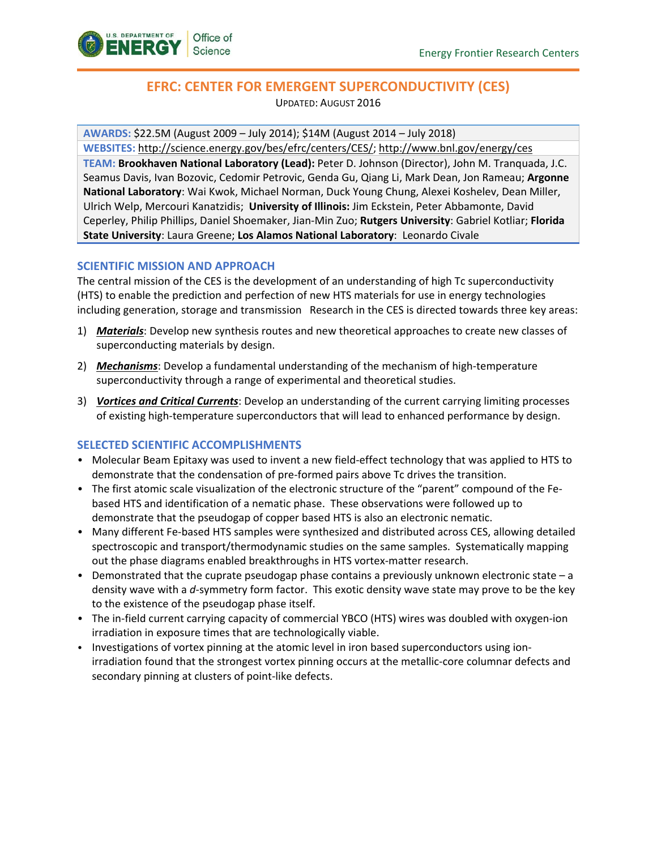

# **EFRC: CENTER FOR EMERGENT SUPERCONDUCTIVITY (CES)**

UPDATED: AUGUST 2016

**AWARDS:** \$22.5M (August 2009 – July 2014); \$14M (August 2014 – July 2018)

**WEBSITES:** [http://science.energy.gov/bes/efrc/centers/CES/;](http://science.energy.gov/bes/efrc/centers/CES/)<http://www.bnl.gov/energy/ces>

**TEAM: Brookhaven National Laboratory (Lead):** Peter D. Johnson (Director), John M. Tranquada, J.C. Seamus Davis, Ivan Bozovic, Cedomir Petrovic, Genda Gu, Qiang Li, Mark Dean, Jon Rameau; **Argonne National Laboratory**: Wai Kwok, Michael Norman, Duck Young Chung, Alexei Koshelev, Dean Miller, Ulrich Welp, Mercouri Kanatzidis; **University of Illinois:** Jim Eckstein, Peter Abbamonte, David Ceperley, Philip Phillips, Daniel Shoemaker, Jian-Min Zuo; **Rutgers University**: Gabriel Kotliar; **Florida State University**: Laura Greene; **Los Alamos National Laboratory**: Leonardo Civale

## **SCIENTIFIC MISSION AND APPROACH**

The central mission of the CES is the development of an understanding of high Tc superconductivity (HTS) to enable the prediction and perfection of new HTS materials for use in energy technologies including generation, storage and transmission Research in the CES is directed towards three key areas:

- 1) *Materials*: Develop new synthesis routes and new theoretical approaches to create new classes of superconducting materials by design.
- 2) *Mechanisms*: Develop a fundamental understanding of the mechanism of high-temperature superconductivity through a range of experimental and theoretical studies.
- 3) *Vortices and Critical Currents*: Develop an understanding of the current carrying limiting processes of existing high-temperature superconductors that will lead to enhanced performance by design.

## **SELECTED SCIENTIFIC ACCOMPLISHMENTS**

- Molecular Beam Epitaxy was used to invent a new field-effect technology that was applied to HTS to demonstrate that the condensation of pre-formed pairs above Tc drives the transition.
- The first atomic scale visualization of the electronic structure of the "parent" compound of the Febased HTS and identification of a nematic phase. These observations were followed up to demonstrate that the pseudogap of copper based HTS is also an electronic nematic.
- Many different Fe-based HTS samples were synthesized and distributed across CES, allowing detailed spectroscopic and transport/thermodynamic studies on the same samples. Systematically mapping out the phase diagrams enabled breakthroughs in HTS vortex-matter research.
- Demonstrated that the cuprate pseudogap phase contains a previously unknown electronic state a density wave with a *d*-symmetry form factor. This exotic density wave state may prove to be the key to the existence of the pseudogap phase itself.
- The in-field current carrying capacity of commercial YBCO (HTS) wires was doubled with oxygen-ion irradiation in exposure times that are technologically viable.
- Investigations of vortex pinning at the atomic level in iron based superconductors using ionirradiation found that the strongest vortex pinning occurs at the metallic-core columnar defects and secondary pinning at clusters of point-like defects.